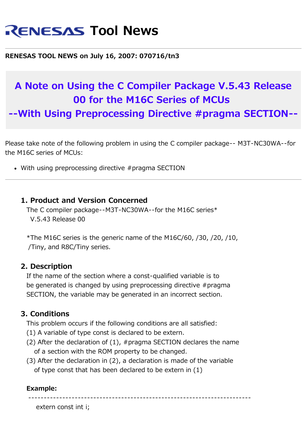# **RENESAS Tool News**

#### **RENESAS TOOL NEWS on July 16, 2007: 070716/tn3**

## **A Note on Using the C Compiler Package V.5.43 Release 00 for the M16C Series of MCUs**

**--With Using Preprocessing Directive #pragma SECTION--**

Please take note of the following problem in using the C compiler package-- M3T-NC30WA--for the M16C series of MCUs:

With using preprocessing directive #pragma SECTION

#### **1. Product and Version Concerned**

 The C compiler package--M3T-NC30WA--for the M16C series\* V.5.43 Release 00

\*The M16C series is the generic name of the M16C/60,  $/30$ ,  $/20$ ,  $/10$ , /Tiny, and R8C/Tiny series.

#### **2. Description**

 If the name of the section where a const-qualified variable is to be generated is changed by using preprocessing directive #pragma SECTION, the variable may be generated in an incorrect section.

#### **3. Conditions**

This problem occurs if the following conditions are all satisfied:

- (1) A variable of type const is declared to be extern.
- (2) After the declaration of (1), #pragma SECTION declares the name of a section with the ROM property to be changed.
- (3) After the declaration in (2), a declaration is made of the variable of type const that has been declared to be extern in (1)

#### **Example:**

------------------------------------------------------------------------

extern const int i;